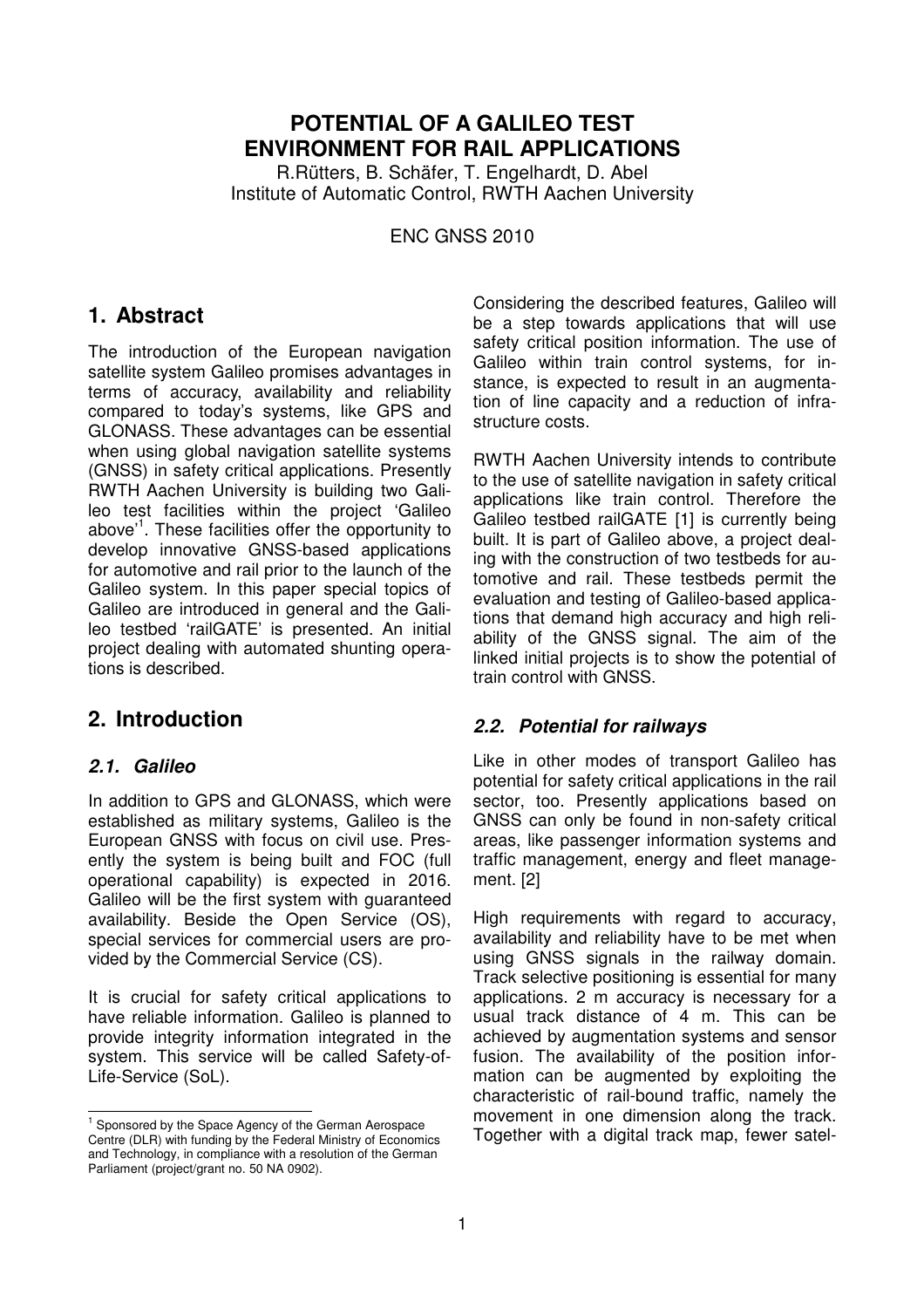## **POTENTIAL OF A GALILEO TEST ENVIRONMENT FOR RAIL APPLICATIONS**

R.Rütters, B. Schäfer, T. Engelhardt, D. Abel Institute of Automatic Control, RWTH Aachen University

ENC GNSS 2010

## **1. Abstract**

The introduction of the European navigation satellite system Galileo promises advantages in terms of accuracy, availability and reliability compared to today's systems, like GPS and GLONASS. These advantages can be essential when using global navigation satellite systems (GNSS) in safety critical applications. Presently RWTH Aachen University is building two Galileo test facilities within the project 'Galileo above<sup>1</sup>. These facilities offer the opportunity to develop innovative GNSS-based applications for automotive and rail prior to the launch of the Galileo system. In this paper special topics of Galileo are introduced in general and the Galileo testbed 'railGATE' is presented. An initial project dealing with automated shunting operations is described.

# **2. Introduction**

## **2.1. Galileo**

 $\overline{a}$ 

In addition to GPS and GLONASS, which were established as military systems, Galileo is the European GNSS with focus on civil use. Presently the system is being built and FOC (full operational capability) is expected in 2016. Galileo will be the first system with guaranteed availability. Beside the Open Service (OS), special services for commercial users are provided by the Commercial Service (CS).

It is crucial for safety critical applications to have reliable information. Galileo is planned to provide integrity information integrated in the system. This service will be called Safety-of-Life-Service (SoL).

Considering the described features, Galileo will be a step towards applications that will use safety critical position information. The use of Galileo within train control systems, for instance, is expected to result in an augmentation of line capacity and a reduction of infrastructure costs.

RWTH Aachen University intends to contribute to the use of satellite navigation in safety critical applications like train control. Therefore the Galileo testbed railGATE [1] is currently being built. It is part of Galileo above, a project dealing with the construction of two testbeds for automotive and rail. These testbeds permit the evaluation and testing of Galileo-based applications that demand high accuracy and high reliability of the GNSS signal. The aim of the linked initial projects is to show the potential of train control with GNSS.

## **2.2. Potential for railways**

Like in other modes of transport Galileo has potential for safety critical applications in the rail sector, too. Presently applications based on GNSS can only be found in non-safety critical areas, like passenger information systems and traffic management, energy and fleet management. [2]

High requirements with regard to accuracy, availability and reliability have to be met when using GNSS signals in the railway domain. Track selective positioning is essential for many applications. 2 m accuracy is necessary for a usual track distance of 4 m. This can be achieved by augmentation systems and sensor fusion. The availability of the position information can be augmented by exploiting the characteristic of rail-bound traffic, namely the movement in one dimension along the track. Together with a digital track map, fewer satel-

<sup>&</sup>lt;sup>1</sup> Sponsored by the Space Agency of the German Aerospace Centre (DLR) with funding by the Federal Ministry of Economics and Technology, in compliance with a resolution of the German Parliament (project/grant no. 50 NA 0902).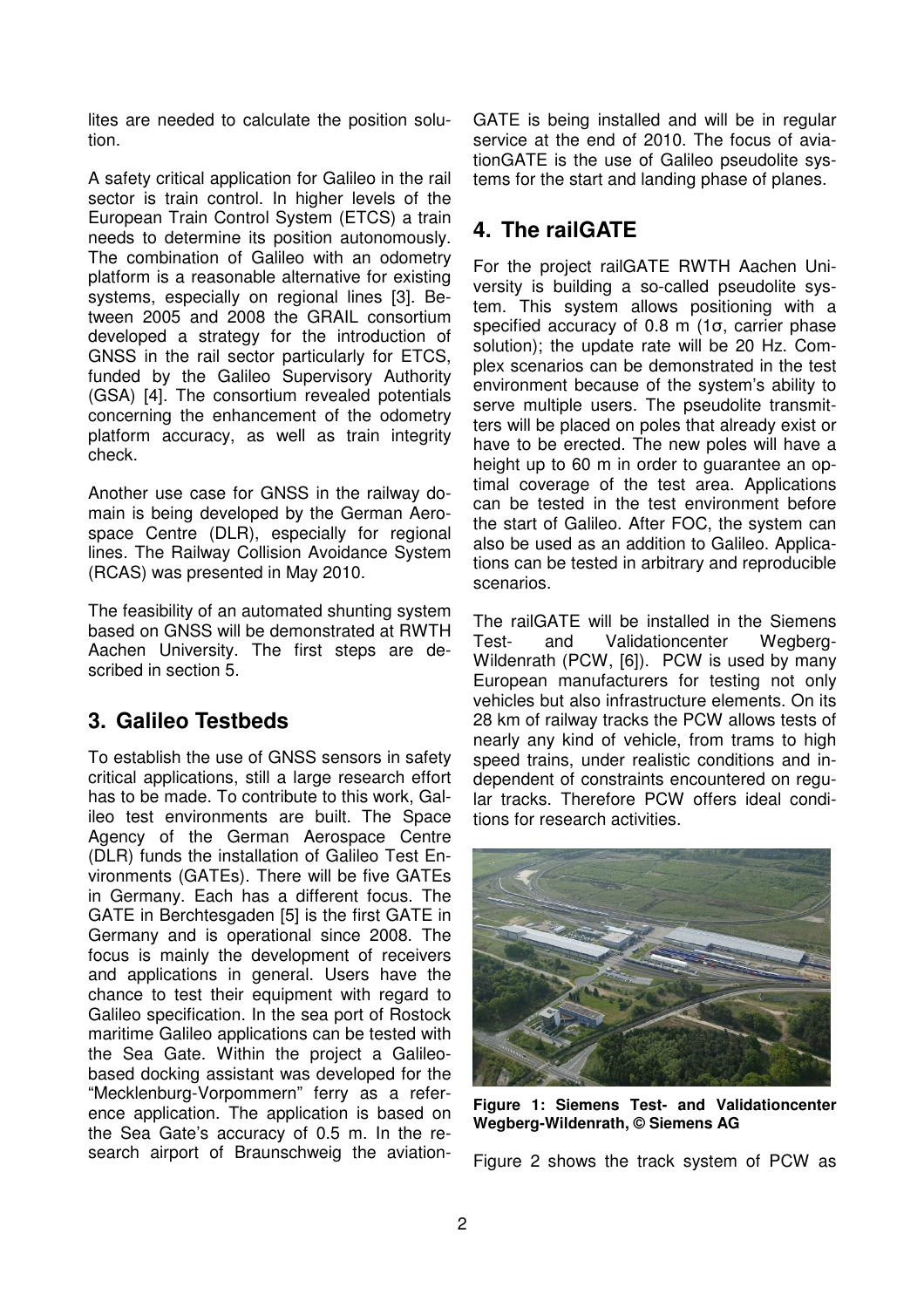lites are needed to calculate the position solution.

A safety critical application for Galileo in the rail sector is train control. In higher levels of the European Train Control System (ETCS) a train needs to determine its position autonomously. The combination of Galileo with an odometry platform is a reasonable alternative for existing systems, especially on regional lines [3]. Between 2005 and 2008 the GRAIL consortium developed a strategy for the introduction of GNSS in the rail sector particularly for ETCS, funded by the Galileo Supervisory Authority (GSA) [4]. The consortium revealed potentials concerning the enhancement of the odometry platform accuracy, as well as train integrity check.

Another use case for GNSS in the railway domain is being developed by the German Aerospace Centre (DLR), especially for regional lines. The Railway Collision Avoidance System (RCAS) was presented in May 2010.

The feasibility of an automated shunting system based on GNSS will be demonstrated at RWTH Aachen University. The first steps are described in section 5.

# **3. Galileo Testbeds**

To establish the use of GNSS sensors in safety critical applications, still a large research effort has to be made. To contribute to this work, Galileo test environments are built. The Space Agency of the German Aerospace Centre (DLR) funds the installation of Galileo Test Environments (GATEs). There will be five GATEs in Germany. Each has a different focus. The GATE in Berchtesgaden [5] is the first GATE in Germany and is operational since 2008. The focus is mainly the development of receivers and applications in general. Users have the chance to test their equipment with regard to Galileo specification. In the sea port of Rostock maritime Galileo applications can be tested with the Sea Gate. Within the project a Galileobased docking assistant was developed for the "Mecklenburg-Vorpommern" ferry as a reference application. The application is based on the Sea Gate's accuracy of 0.5 m. In the research airport of Braunschweig the aviation-

GATE is being installed and will be in regular service at the end of 2010. The focus of aviationGATE is the use of Galileo pseudolite systems for the start and landing phase of planes.

# **4. The railGATE**

For the project railGATE RWTH Aachen University is building a so-called pseudolite system. This system allows positioning with a specified accuracy of 0.8 m (1σ, carrier phase solution); the update rate will be 20 Hz. Complex scenarios can be demonstrated in the test environment because of the system's ability to serve multiple users. The pseudolite transmitters will be placed on poles that already exist or have to be erected. The new poles will have a height up to 60 m in order to guarantee an optimal coverage of the test area. Applications can be tested in the test environment before the start of Galileo. After FOC, the system can also be used as an addition to Galileo. Applications can be tested in arbitrary and reproducible scenarios.

The railGATE will be installed in the Siemens Test- and Validationcenter Wegberg-Wildenrath (PCW, [6]). PCW is used by many European manufacturers for testing not only vehicles but also infrastructure elements. On its 28 km of railway tracks the PCW allows tests of nearly any kind of vehicle, from trams to high speed trains, under realistic conditions and independent of constraints encountered on regular tracks. Therefore PCW offers ideal conditions for research activities.



**Figure 1: Siemens Test- and Validationcenter Wegberg-Wildenrath, © Siemens AG** 

Figure 2 shows the track system of PCW as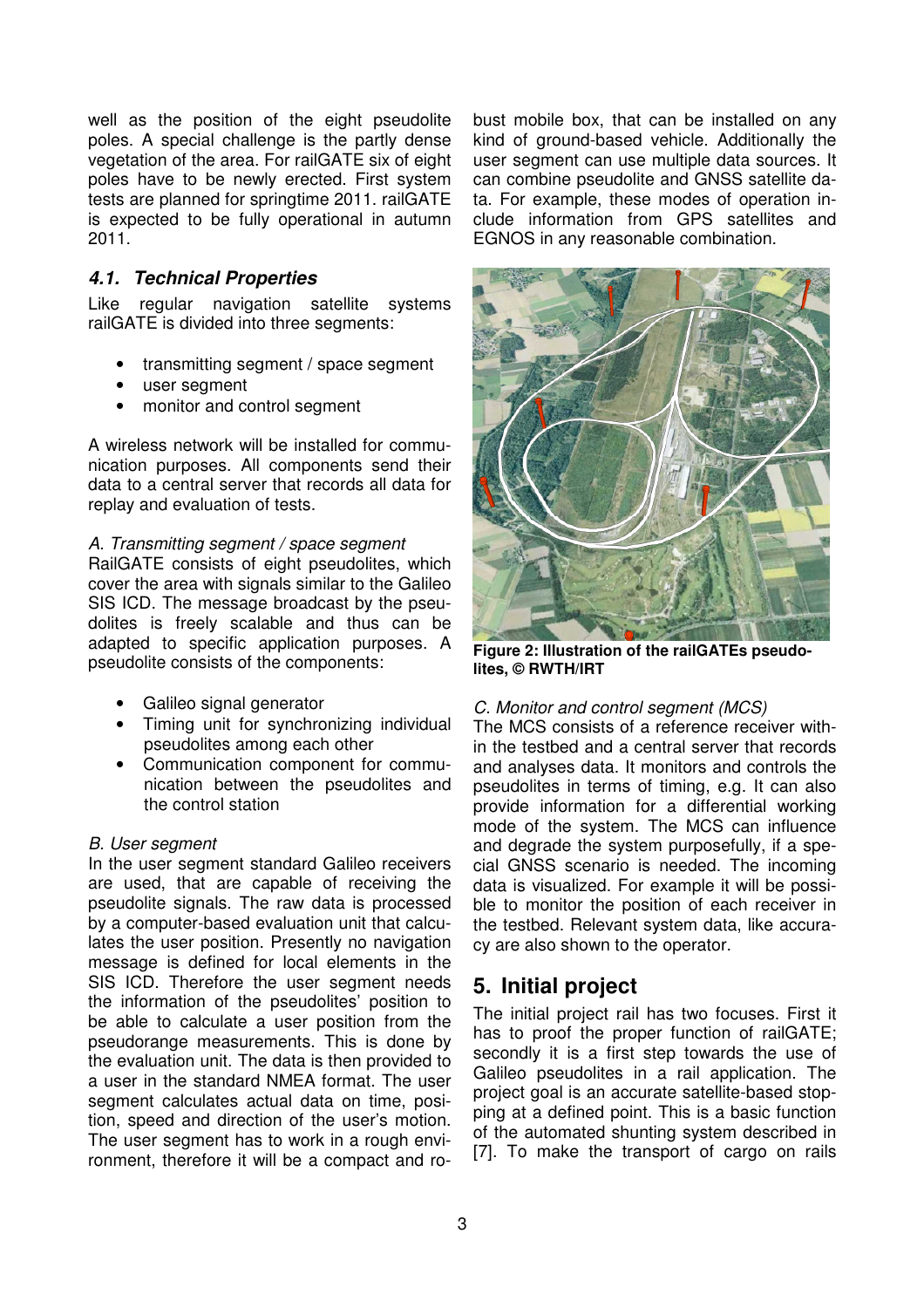well as the position of the eight pseudolite poles. A special challenge is the partly dense vegetation of the area. For railGATE six of eight poles have to be newly erected. First system tests are planned for springtime 2011. railGATE is expected to be fully operational in autumn 2011.

## **4.1. Technical Properties**

Like regular navigation satellite systems railGATE is divided into three segments:

- transmitting segment / space segment
- user segment
- monitor and control segment

A wireless network will be installed for communication purposes. All components send their data to a central server that records all data for replay and evaluation of tests.

### A. Transmitting segment / space segment

RailGATE consists of eight pseudolites, which cover the area with signals similar to the Galileo SIS ICD. The message broadcast by the pseudolites is freely scalable and thus can be adapted to specific application purposes. A pseudolite consists of the components:

- Galileo signal generator
- Timing unit for synchronizing individual pseudolites among each other
- Communication component for communication between the pseudolites and the control station

### B. User segment

In the user segment standard Galileo receivers are used, that are capable of receiving the pseudolite signals. The raw data is processed by a computer-based evaluation unit that calculates the user position. Presently no navigation message is defined for local elements in the SIS ICD. Therefore the user segment needs the information of the pseudolites' position to be able to calculate a user position from the pseudorange measurements. This is done by the evaluation unit. The data is then provided to a user in the standard NMEA format. The user segment calculates actual data on time, position, speed and direction of the user's motion. The user segment has to work in a rough environment, therefore it will be a compact and ro-

bust mobile box, that can be installed on any kind of ground-based vehicle. Additionally the user segment can use multiple data sources. It can combine pseudolite and GNSS satellite data. For example, these modes of operation include information from GPS satellites and EGNOS in any reasonable combination.



**Figure 2: Illustration of the railGATEs pseudolites, © RWTH/IRT** 

## C. Monitor and control segment (MCS)

The MCS consists of a reference receiver within the testbed and a central server that records and analyses data. It monitors and controls the pseudolites in terms of timing, e.g. It can also provide information for a differential working mode of the system. The MCS can influence and degrade the system purposefully, if a special GNSS scenario is needed. The incoming data is visualized. For example it will be possible to monitor the position of each receiver in the testbed. Relevant system data, like accuracy are also shown to the operator.

# **5. Initial project**

The initial project rail has two focuses. First it has to proof the proper function of railGATE; secondly it is a first step towards the use of Galileo pseudolites in a rail application. The project goal is an accurate satellite-based stopping at a defined point. This is a basic function of the automated shunting system described in [7]. To make the transport of cargo on rails